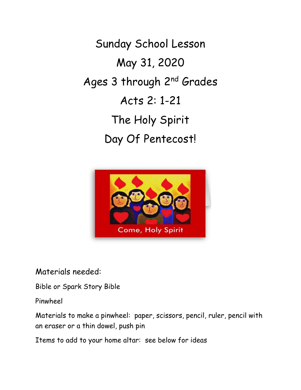Sunday School Lesson May 31, 2020 Ages 3 through 2nd Grades Acts 2: 1-21 The Holy Spirit Day Of Pentecost!



Materials needed:

Bible or Spark Story Bible

Pinwheel

Materials to make a pinwheel: paper, scissors, pencil, ruler, pencil with an eraser or a thin dowel, push pin

Items to add to your home altar: see below for ideas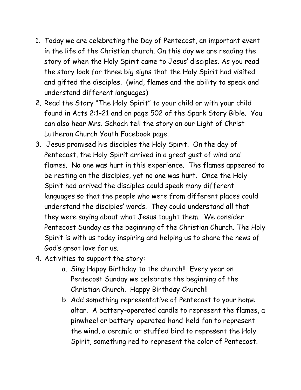- 1. Today we are celebrating the Day of Pentecost, an important event in the life of the Christian church. On this day we are reading the story of when the Holy Spirit came to Jesus' disciples. As you read the story look for three big signs that the Holy Spirit had visited and gifted the disciples. (wind, flames and the ability to speak and understand different languages)
- 2. Read the Story "The Holy Spirit" to your child or with your child found in Acts 2:1-21 and on page 502 of the Spark Story Bible. You can also hear Mrs. Schoch tell the story on our Light of Christ Lutheran Church Youth Facebook page.
- 3. Jesus promised his disciples the Holy Spirit. On the day of Pentecost, the Holy Spirit arrived in a great gust of wind and flames. No one was hurt in this experience. The flames appeared to be resting on the disciples, yet no one was hurt. Once the Holy Spirit had arrived the disciples could speak many different languages so that the people who were from different places could understand the disciples' words. They could understand all that they were saying about what Jesus taught them. We consider Pentecost Sunday as the beginning of the Christian Church. The Holy Spirit is with us today inspiring and helping us to share the news of God's great love for us.
- 4. Activities to support the story:
	- a. Sing Happy Birthday to the church!! Every year on Pentecost Sunday we celebrate the beginning of the Christian Church. Happy Birthday Church!!
	- b. Add something representative of Pentecost to your home altar. A battery-operated candle to represent the flames, a pinwheel or battery-operated hand-held fan to represent the wind, a ceramic or stuffed bird to represent the Holy Spirit, something red to represent the color of Pentecost.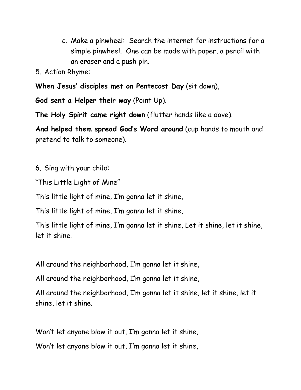c. Make a pinwheel: Search the internet for instructions for a simple pinwheel. One can be made with paper, a pencil with an eraser and a push pin.

5. Action Rhyme:

**When Jesus' disciples met on Pentecost Day** (sit down),

**God sent a Helper their way** (Point Up).

**The Holy Spirit came right down** (flutter hands like a dove).

**And helped them spread God's Word around** (cup hands to mouth and pretend to talk to someone).

6. Sing with your child:

"This Little Light of Mine"

This little light of mine, I'm gonna let it shine,

This little light of mine, I'm gonna let it shine,

This little light of mine, I'm gonna let it shine, Let it shine, let it shine, let it shine.

All around the neighborhood, I'm gonna let it shine,

All around the neighborhood, I'm gonna let it shine,

All around the neighborhood, I'm gonna let it shine, let it shine, let it shine, let it shine.

Won't let anyone blow it out, I'm gonna let it shine,

Won't let anyone blow it out, I'm gonna let it shine,